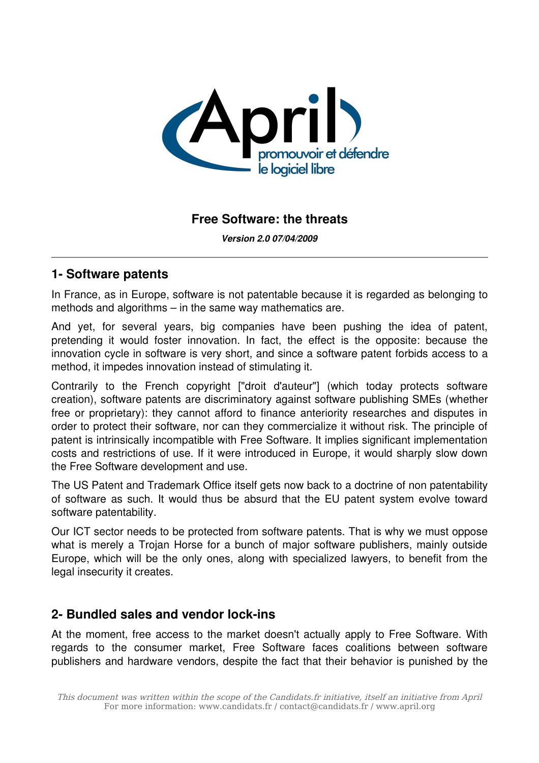

### **Free Software: the threats**

*Version 2.0 07/04/2009*

#### **1 Software patents**

In France, as in Europe, software is not patentable because it is regarded as belonging to methods and algorithms – in the same way mathematics are.

And yet, for several years, big companies have been pushing the idea of patent, pretending it would foster innovation. In fact, the effect is the opposite: because the innovation cycle in software is very short, and since a software patent forbids access to a method, it impedes innovation instead of stimulating it.

Contrarily to the French copyright ["droit d'auteur"] (which today protects software creation), software patents are discriminatory against software publishing SMEs (whether free or proprietary): they cannot afford to finance anteriority researches and disputes in order to protect their software, nor can they commercialize it without risk. The principle of patent is intrinsically incompatible with Free Software. It implies significant implementation costs and restrictions of use. If it were introduced in Europe, it would sharply slow down the Free Software development and use.

The US Patent and Trademark Office itself gets now back to a doctrine of non patentability of software as such. It would thus be absurd that the EU patent system evolve toward software patentability.

Our ICT sector needs to be protected from software patents. That is why we must oppose what is merely a Trojan Horse for a bunch of major software publishers, mainly outside Europe, which will be the only ones, along with specialized lawyers, to benefit from the legal insecurity it creates.

### **2- Bundled sales and vendor lock-ins**

At the moment, free access to the market doesn't actually apply to Free Software. With regards to the consumer market, Free Software faces coalitions between software publishers and hardware vendors, despite the fact that their behavior is punished by the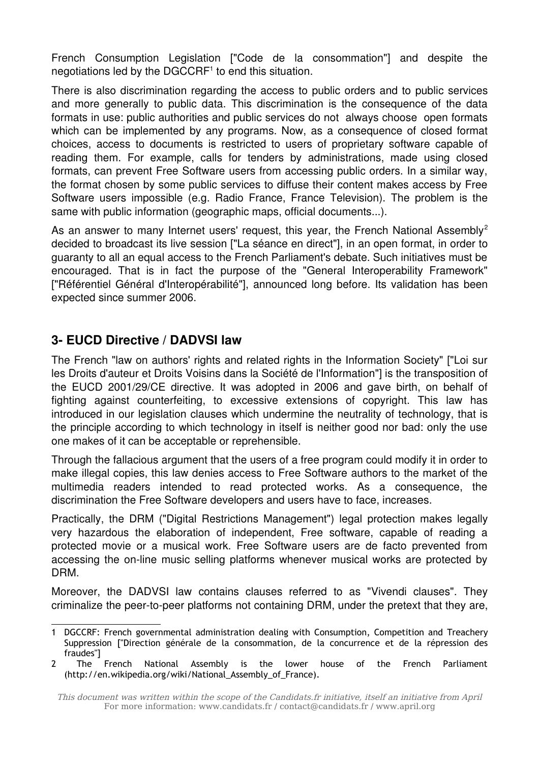French Consumption Legislation ["Code de la consommation"] and despite the negotiations led by the DGCCRF<sup>[1](#page-1-0)</sup> to end this situation.

There is also discrimination regarding the access to public orders and to public services and more generally to public data. This discrimination is the consequence of the data formats in use: public authorities and public services do not always choose open formats which can be implemented by any programs. Now, as a consequence of closed format choices, access to documents is restricted to users of proprietary software capable of reading them. For example, calls for tenders by administrations, made using closed formats, can prevent Free Software users from accessing public orders. In a similar way, the format chosen by some public services to diffuse their content makes access by Free Software users impossible (e.g. Radio France, France Television). The problem is the same with public information (geographic maps, official documents...).

As an answer to many Internet users' request, this year, the French National Assembly<sup>[2](#page-1-1)</sup> decided to broadcast its live session ["La séance en direct"], in an open format, in order to guaranty to all an equal access to the French Parliament's debate. Such initiatives must be encouraged. That is in fact the purpose of the "General Interoperability Framework" ["Référentiel Général d'Interopérabilité"], announced long before. Its validation has been expected since summer 2006.

# **3 EUCD Directive / DADVSI law**

The French "law on authors' rights and related rights in the Information Society" ["Loi sur les Droits d'auteur et Droits Voisins dans la Société de l'Information"] is the transposition of the EUCD 2001/29/CE directive. It was adopted in 2006 and gave birth, on behalf of fighting against counterfeiting, to excessive extensions of copyright. This law has introduced in our legislation clauses which undermine the neutrality of technology, that is the principle according to which technology in itself is neither good nor bad: only the use one makes of it can be acceptable or reprehensible.

Through the fallacious argument that the users of a free program could modify it in order to make illegal copies, this law denies access to Free Software authors to the market of the multimedia readers intended to read protected works. As a consequence, the discrimination the Free Software developers and users have to face, increases.

Practically, the DRM ("Digital Restrictions Management") legal protection makes legally very hazardous the elaboration of independent, Free software, capable of reading a protected movie or a musical work. Free Software users are de facto prevented from accessing the on-line music selling platforms whenever musical works are protected by DRM.

Moreover, the DADVSI law contains clauses referred to as "Vivendi clauses". They criminalize the peer-to-peer platforms not containing DRM, under the pretext that they are,

<span id="page-1-0"></span><sup>1</sup> DGCCRF: French governmental administration dealing with Consumption, Competition and Treachery Suppression ["Direction générale de la consommation, de la concurrence et de la répression des fraudes"]

<span id="page-1-1"></span><sup>2</sup> The French National Assembly is the lower house of the French Parliament (http://en.wikipedia.org/wiki/National\_Assembly\_of\_France).